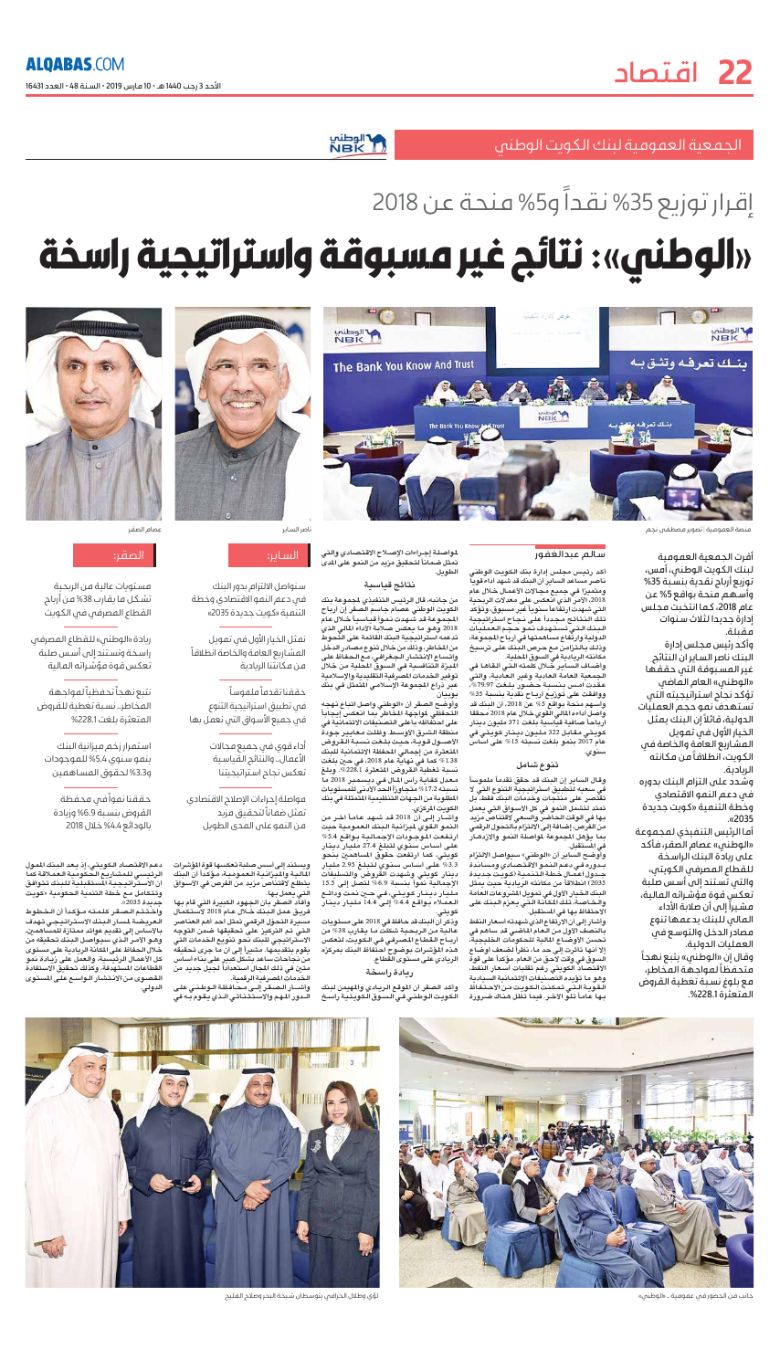الأحد 3 رجب 1440 هـ • 10 عارس 2019 • السنة 48 • العدد 16431

# لاالوطني<br>NBK \

# إقرار توزيع 35% نقداً و5% منحة عن 2018

الجمعية العمومية لبنك الكويت الوطنم

# «الوطني»: نتائج غير مسبوقة واستراتيجية راسخة



منصة العمومية | تصوير مصطفى نجم

أقرت الحمعية العمومية لىنك الكويت الوطنى، أقس، توزيع أرباح نقدية بنسبة 35% وأسهم فنحة بواقع 5% عن عام 2018، كما انتخبت مجلس إدارة جديدا لثلاث سنوات مقىلة.

وأكد رئيس فجلس إدارة الىنك ناصر الساىر ان النتائج غير المسبوقة التى حققها «الوطني» العام العاض تؤكد نجاح استراتيجيته التى تستهدف نقو حجم العقلبات الدولية، قائلاً إن البنك يعثل الخيار الأول في تعويل العشاريع العافة والخاصة فى الكويت، انطلاقاً من مكانته الرىادىة.

### سالم عبدالغفور

أكد رئيس مجلس إدارة بنك الكويت الوطنى ناصر مساعد الساير أن البنك قد شهد أداء قويا ومتميزا في جميع مجالات الأعمال خلال عام 2018، الأمر الذي انعكس على معدلات الربحية التي شهدت ارتفاعاً سنوياً غير مسبوق، وتؤكد تلك النتائج مجددأ على نجاح استراتيجية البنك التى تستهدف نمو حجم العمليات الدولية وارتّفاع مساهمتها في أرباح المجموعة، وذلك بالتزامن مع حرص البنك على ترسيخ مكانته الريادية فى السوق المحلية.

وأضباف السباير خلال كلمته التيى ألقاها في .<br>الحمعية العامة العادية وغير العادية، والتي عقدت امس بنسبة حضور بلغت 79.97%، ووافقت على توزيع أربـاح نقدية بنسبة 35% وأسهم منحة بواقع 5% عن 2018، أن البنك قد واصل أداءه المالي اللقوى خلال عام 2018 محققا ارباحاً صافية قياسية بلغت 371 مليون دينار .<br>كويتى مقابل 322 مليون دينار كويتي في عام 2017 بنمو بلغت نسبته 15% على اساس

لمواصلة إجراءات الإصلاح الاقتصادي والتي تمثل ضماناً لتحقيقٌ مزيد من النمو على المدى الطويل.

#### نتائج قياسية

من جانبه، قال الرئيس التنفيذي لجموعة بنك<br>الكويت الوطني عصام جاسم الصقر إن أرباح<br>الجموعة قد شـهدت نـموأ قيـاسبــأ خــلال عـام 2018 وهو ما يعكس صلابة الأداء المالي الذي تدعمه استراتيجية البنك القائمة على التّحوط من المخاطر، وذلك من خلال تنوع مصادر الدخل واتساع الانتشار الجغرافي، مع الحفاظ على الميزة التنافسية في السوق المحلية من خلال توفير الخدمات المصرفية التقليدية والإسلامية عبِّر دَراع المجموعة الإسلامي المتمثل في بنك يو بيان

وأوضح الصقر أن «الوطني واصل اتباع نهجه التحفظي لمواجهة المخاطر بما انعكس إيجاباً على احتفاظه بأعلى التصنيفات الائتمانية فى منطقة الشرق الأوسط. وظلت معايير حودةً الأصبول قوية، حيث بلغت نسبة القروض المتعثرة من إجمالي المحفظة الائتمانية للبنك 1.38% كما في نهاية عام 2018، في حين بلغت نسبة تغطية القروض المتعثرة 228.1%. وبلغ معدل كفاية رأس المال في ديسمبر 2018 ما نسبته 17.2% متجاوزاً الحد الأدنى للمستويات المطلوبة من الجهات التنظيمية المتمثلة في بنك الكويت المركزي. وأشــار إلــى أنَّ 2018 قد شـهد عـامـاً اَخـر من النمو القوي لميزانية البنك العمومية حبث ارتفعت الموجودات الإجمالية بواقع 5.4% على أساس سنوي لتبلغ 27.4 مليار دينار كويتي، كما ارتفعت حقوق المساهمين بنحو 3.3% على أساس سنوي لتبلغ 2.95 مليار دينار كويتي وشهدت القروض والتسليفات الإجمالية نموأ بنسبة 6.9% لتصل إلى 15.5 مليار ديــذار كـويــتـي، فـي حــين نـمـت ودائــع العملاء بواقع 4.4% إلى 14.4 مليار دينار ودُكر أن البنك قد حافظ في 2018 على مستويات عاليـة مـن الـربـحـيـة شكلت مـا يـقـارب 38% من أربــاح الـقطـاع المصـرفـي فـي الـكـويـت، لـتـعكس هذه المؤشرات بوضوح احتفاظ البنك بمركزه الريادي على مستوى القطاع.



ناصر الساير



سنواصل الالتزام بدور البنك في دعم النمو الاقتصادي وخطة التنمية «كويت حديدة 2035»

نعثل الخيار الأول فى تعويل المشاريع العافة والخاصة انطلاقاً فن فكانتنا الربادية

### حققنا تقدماً ملموساً

في تطبيق استراتيجية التنوع فم جميع الأسواق التم نعمل بها

أداء قوى فص جميع مجالات

فواصلة إجراءات الإصلاح الاقتصادي

ويستند إلى أسس صلبة تعكسها قوة المؤشرات

الماليية والمتزائيية التعموميية، مؤكداً أن البنك

يتطلع لاقتناص مزيد من الفرص في الأسواق

وأفاد الصقر بأن الجهود الكبيرة التى قام بها

فرييق عمل البنك خلال عام 2018 لاستكمال

مسيرة التحوّل الرقمى تمثل أحد أهم العناصر

التي تم التركيز على تحقيقها ضمن التوجه

الاستراتيجى للبنك نحو تنويع الخدمات التي

يقوم بتقديمـها. مشيراً إلى أن ما جرى تحقيقه

من نجاحات ساعد بشكل كبير على بناء أساس

متين في ذلك المجال استعداداً لجيل جديد من

وأشـــار الـصـقر إلــى مـحـافظـة الـوطـنـى علـى

الخُدمات المصرفية الرقمية.

الأعمال.. والنتائج القياسية

تعكس نجاح استراتيجيتنا

تعثل ضماناً لتحقيق مزيد

التى يعمل بها.

فن النفو على الفدى الطويل



عصام الصقر

### الصقر:

فستوبات عالية فن الربحية تشكل فا نقارت 38% فن أرباح القطاع المصرفى فى الكويت

ريادة «الوطني» للقطاع المصرفي راسخة وتستند إلى أسس صلبة تعكس قوة فؤشراته الفالية

نتبع نهجآ تحفظيآ لمواجهة المخاطر.. نسبة تغطية للقروض المتعثرة بلغت38.1%

استعرار زخم ميزانية البنك بنعو سنوى 5.4% للموجودات 3.3<sub>9</sub> لحقوق المساهمين

وشدد على التزام البنك بدوره في دعم النمو الاقتصادي وخطة التنعية «كويت جديدة .«2035

أفا الرئيس التنفيذي لفجفوعة «الوطني» عصام الصقر، فأكد علم، ربادة البنك الراسخة للقطاع العصرفى الكويتى، والتى تستند الى أسس صلية تعكس قوة مؤشراته العالية، فشيراً إلى أن صلابة الأداء العالى للبنك يدعمها تنوع فصادر الدخل والتوسع فق العمليات الدولية. وقال إن «الوطني» يتبع نهجاً متحفظاً لمواجهة المخاطر، مع بلوغ نسبة تغطية القروض المتعثرة 228.1%.

### تنوع شامل

وقال الساير إن البنك قد حقق تقدماً ملموساً في سعيه لتطبيق استراتيجية التنوع التي لا تقتصر على منتجات وخدمات البنك فقط، بل تمتد لتشمل النمو في كل الأسواق التي يعمل بـها فى الوقت الـحاضر والسعى لاقتناصٌ مزيد من الفرص، إضافة إلى الالتزام بالتحول الرقمى بما يؤهل المجموعة لمواصلة النمو والازدهـار فَى المُسَتقبِلِ.

وأوضح الساير أن «الوطني» سيواصل الالتزام بـدوره فـي دعـم الـنـمـو الاقـتـصـادي ومسـانـدة جـدول اعـمـال خـطـة الـتـنـمـيـة (كـويـت جـديـدة 2035) انطلاقاً من مكانته الريادية حيث يمثل البنك الخيار الأول فى تمويل المشروعات العامة والخاصة، تلك المكانة التي يعزم البنك على الاحتفاظ بها في المستقبل.

وأشار إلى أن الارتفاع الذي شهدته أسعار النفط بالنصف الأول من العام الماضى قد ساهم فى تحسن الأوضـاع المالية للحكومات الخليجية، إلا أنها تأثرت إلى حد ما، نظراً لضعف أوضاع السوق في وقت لاحق من العام. مؤكداً على قوة الاقتصاد الكويتي رغم تقلبات أسعار النفط، وهو ما تؤيده التصنيفات الائتمانية السيادية اللقوبة التنى تمكنت الكوبت من الاحتفاظ ىـها عامـاً تـلـو الآخـر. فيمـا تـظل هـنـاك ضـرورة

### ريادة راسخة

وأكد الصقر أن الموقع الريادي والمهيمن لبنك الكويت الوطنى فى السوق الكويتية راسخ

حققنا نمواً في محفظة القروض بنسبة 6.9% وزيادة بالودائع 4.4% خلال 2018

دعم الاقتصاد الكويتي، إذ يعد البنك الممول الرئيسي للمشاريع الحكومية العملاقة كما أن الاستراتيجية المستقبلية للبنك تتوافق وتتكامل مع خطة التنمية الحكومية «كويت جدىدة 2035».

واختتم الصقر كلمته مؤكدأ أن الخطوط العريضة لمسار البنك الاستراتيجي تهدف بالأساس إلى تقديم عوائد ممتازة للمساهمين، وهـو الأمـر الـذي سـيـواصـل الـبـنك تـحقيقه من خلال الحفاظ على المكانة الريادية على مستوى كل الأعمـال الرئيسية، والـعمل علـى زيـادة نمو القطاعات المستهدفة، وكذلك تحقيق الاستفادة القصوى من الانتشار الواسع على المستوى الدولى.



جانب من الحضور في عمومية .. «الوطني»



لؤى وطلال الخرافمى يتوسطان شيخة البحر وصلاح الفليج